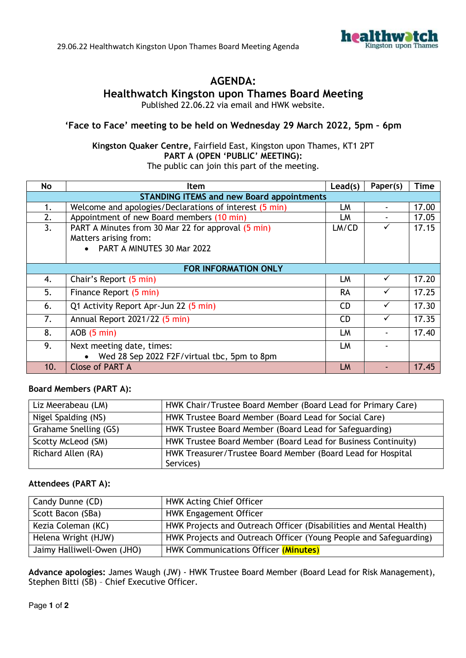

## **AGENDA:**

## **Healthwatch Kingston upon Thames Board Meeting**

Published 22.06.22 via email and HWK website.

### **'Face to Face' meeting to be held on Wednesday 29 March 2022, 5pm – 6pm**

# **Kingston Quaker Centre,** Fairfield East, Kingston upon Thames, KT1 2PT **PART A (OPEN 'PUBLIC' MEETING):**

| The public can join this part of the meeting. |  |  |
|-----------------------------------------------|--|--|
|-----------------------------------------------|--|--|

| No                          | <b>Item</b>                                                                                                 | Lead(s)   | Paper(s)     | <b>Time</b> |
|-----------------------------|-------------------------------------------------------------------------------------------------------------|-----------|--------------|-------------|
|                             | <b>STANDING ITEMS and new Board appointments</b>                                                            |           |              |             |
| 1.                          | Welcome and apologies/Declarations of interest (5 min)                                                      | LM        |              | 17.00       |
| 2.                          | Appointment of new Board members (10 min)                                                                   | LM        |              | 17.05       |
| 3.                          | PART A Minutes from 30 Mar 22 for approval (5 min)<br>Matters arising from:<br>• PART A MINUTES 30 Mar 2022 | LM/CD     |              | 17.15       |
| <b>FOR INFORMATION ONLY</b> |                                                                                                             |           |              |             |
| 4.                          | Chair's Report (5 min)                                                                                      | LM        | ✓            | 17.20       |
| 5.                          | Finance Report (5 min)                                                                                      | <b>RA</b> |              | 17.25       |
| 6.                          | Q1 Activity Report Apr-Jun 22 (5 min)                                                                       | <b>CD</b> | $\checkmark$ | 17.30       |
| 7.                          | Annual Report 2021/22 (5 min)                                                                               | <b>CD</b> |              | 17.35       |
| 8.                          | $AOB$ (5 min)                                                                                               | LM        |              | 17.40       |
| 9.                          | Next meeting date, times:                                                                                   | LM        |              |             |
|                             | Wed 28 Sep 2022 F2F/virtual tbc, 5pm to 8pm                                                                 |           |              |             |
| 10.                         | <b>Close of PART A</b>                                                                                      | LM        |              | 17.45       |

### **Board Members (PART A):**

| Liz Meerabeau (LM)    | HWK Chair/Trustee Board Member (Board Lead for Primary Care)  |
|-----------------------|---------------------------------------------------------------|
| Nigel Spalding (NS)   | HWK Trustee Board Member (Board Lead for Social Care)         |
| Grahame Snelling (GS) | HWK Trustee Board Member (Board Lead for Safeguarding)        |
| Scotty McLeod (SM)    | HWK Trustee Board Member (Board Lead for Business Continuity) |
| Richard Allen (RA)    | HWK Treasurer/Trustee Board Member (Board Lead for Hospital   |
|                       | Services)                                                     |

#### **Attendees (PART A):**

| Candy Dunne (CD)           | <b>HWK Acting Chief Officer</b>                                    |  |
|----------------------------|--------------------------------------------------------------------|--|
| Scott Bacon (SBa)          | <b>HWK Engagement Officer</b>                                      |  |
| Kezia Coleman (KC)         | HWK Projects and Outreach Officer (Disabilities and Mental Health) |  |
| Helena Wright (HJW)        | HWK Projects and Outreach Officer (Young People and Safeguarding)  |  |
| Jaimy Halliwell-Owen (JHO) | HWK Communications Officer (Minutes)                               |  |

**Advance apologies:** James Waugh (JW) - HWK Trustee Board Member (Board Lead for Risk Management), Stephen Bitti (SB) – Chief Executive Officer.